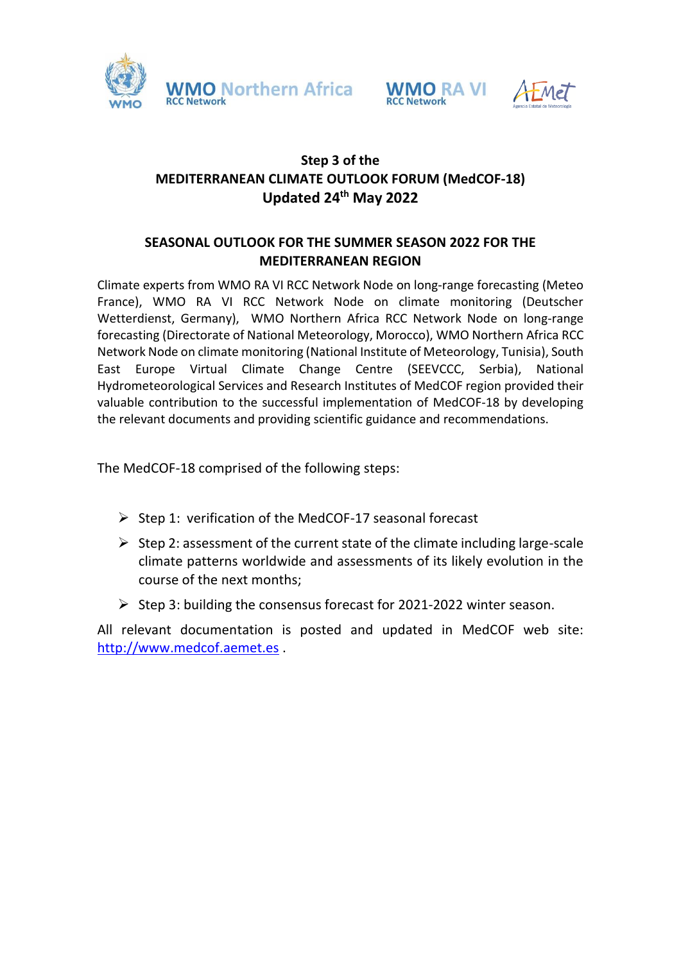





## **Step 3 of the MEDITERRANEAN CLIMATE OUTLOOK FORUM (MedCOF-18) Updated 24 th May 2022**

### **SEASONAL OUTLOOK FOR THE SUMMER SEASON 2022 FOR THE MEDITERRANEAN REGION**

Climate experts from WMO RA VI RCC Network Node on long-range forecasting (Meteo France), WMO RA VI RCC Network Node on climate monitoring (Deutscher Wetterdienst, Germany), WMO Northern Africa RCC Network Node on long-range forecasting (Directorate of National Meteorology, Morocco), WMO Northern Africa RCC Network Node on climate monitoring (National Institute of Meteorology, Tunisia), South East Europe Virtual Climate Change Centre (SEEVCCC, Serbia), National Hydrometeorological Services and Research Institutes of MedCOF region provided their valuable contribution to the successful implementation of MedCOF-18 by developing the relevant documents and providing scientific guidance and recommendations.

The MedCOF-18 comprised of the following steps:

- $\triangleright$  Step 1: verification of the MedCOF-17 seasonal forecast
- $\triangleright$  Step 2: assessment of the current state of the climate including large-scale climate patterns worldwide and assessments of its likely evolution in the course of the next months;
- $\triangleright$  Step 3: building the consensus forecast for 2021-2022 winter season.

All relevant documentation is posted and updated in MedCOF web site: [http://www.medcof.aemet.es](http://www.medcof.aemet.es/) .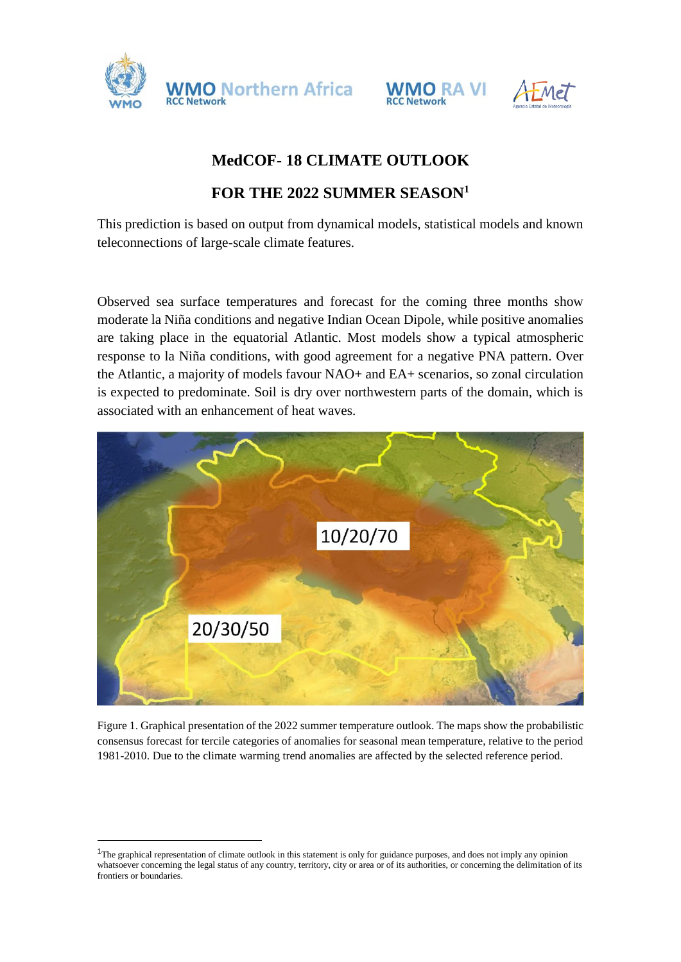





# **MedCOF- 18 CLIMATE OUTLOOK**

## **FOR THE 2022 SUMMER SEASON<sup>1</sup>**

This prediction is based on output from dynamical models, statistical models and known teleconnections of large-scale climate features.

Observed sea surface temperatures and forecast for the coming three months show moderate la Niña conditions and negative Indian Ocean Dipole, while positive anomalies are taking place in the equatorial Atlantic. Most models show a typical atmospheric response to la Niña conditions, with good agreement for a negative PNA pattern. Over the Atlantic, a majority of models favour NAO+ and EA+ scenarios, so zonal circulation is expected to predominate. Soil is dry over northwestern parts of the domain, which is associated with an enhancement of heat waves.



Figure 1. Graphical presentation of the 2022 summer temperature outlook. The maps show the probabilistic consensus forecast for tercile categories of anomalies for seasonal mean temperature, relative to the period 1981-2010. Due to the climate warming trend anomalies are affected by the selected reference period.

 $\overline{a}$ 

<sup>&</sup>lt;sup>1</sup>The graphical representation of climate outlook in this statement is only for guidance purposes, and does not imply any opinion whatsoever concerning the legal status of any country, territory, city or area or of its authorities, or concerning the delimitation of its frontiers or boundaries.